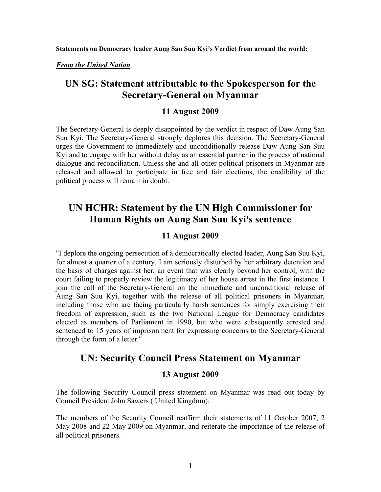**Statements on Democracy leader Aung San Suu Kyi's Verdict from around the world:**

*From the United Nation* 

## **UN SG: Statement attributable to the Spokesperson for the Secretary-General on Myanmar**

### **11 August 2009**

The Secretary-General is deeply disappointed by the verdict in respect of Daw Aung San Suu Kyi. The Secretary-General strongly deplores this decision. The Secretary-General urges the Government to immediately and unconditionally release Daw Aung San Suu Kyi and to engage with her without delay as an essential partner in the process of national dialogue and reconciliation. Unless she and all other political prisoners in Myanmar are released and allowed to participate in free and fair elections, the credibility of the political process will remain in doubt.

# **UN HCHR: Statement by the UN High Commissioner for Human Rights on Aung San Suu Kyi's sentence**

### **11 August 2009**

"I deplore the ongoing persecution of a democratically elected leader, Aung San Suu Kyi, for almost a quarter of a century. I am seriously disturbed by her arbitrary detention and the basis of charges against her, an event that was clearly beyond her control, with the court failing to properly review the legitimacy of her house arrest in the first instance. I join the call of the Secretary-General on the immediate and unconditional release of Aung San Suu Kyi, together with the release of all political prisoners in Myanmar, including those who are facing particularly harsh sentences for simply exercising their freedom of expression, such as the two National League for Democracy candidates elected as members of Parliament in 1990, but who were subsequently arrested and sentenced to 15 years of imprisonment for expressing concerns to the Secretary-General through the form of a letter."

## **UN: Security Council Press Statement on Myanmar**

### **13 August 2009**

The following Security Council press statement on Myanmar was read out today by Council President John Sawers ( United Kingdom):

The members of the Security Council reaffirm their statements of 11 October 2007, 2 May 2008 and 22 May 2009 on Myanmar, and reiterate the importance of the release of all political prisoners.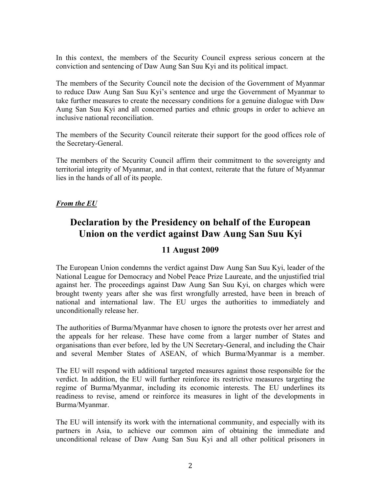In this context, the members of the Security Council express serious concern at the conviction and sentencing of Daw Aung San Suu Kyi and its political impact.

The members of the Security Council note the decision of the Government of Myanmar to reduce Daw Aung San Suu Kyi's sentence and urge the Government of Myanmar to take further measures to create the necessary conditions for a genuine dialogue with Daw Aung San Suu Kyi and all concerned parties and ethnic groups in order to achieve an inclusive national reconciliation.

The members of the Security Council reiterate their support for the good offices role of the Secretary-General.

The members of the Security Council affirm their commitment to the sovereignty and territorial integrity of Myanmar, and in that context, reiterate that the future of Myanmar lies in the hands of all of its people.

#### *From the EU*

## **Declaration by the Presidency on behalf of the European Union on the verdict against Daw Aung San Suu Kyi**

### **11 August 2009**

The European Union condemns the verdict against Daw Aung San Suu Kyi, leader of the National League for Democracy and Nobel Peace Prize Laureate, and the unjustified trial against her. The proceedings against Daw Aung San Suu Kyi, on charges which were brought twenty years after she was first wrongfully arrested, have been in breach of national and international law. The EU urges the authorities to immediately and unconditionally release her.

The authorities of Burma/Myanmar have chosen to ignore the protests over her arrest and the appeals for her release. These have come from a larger number of States and organisations than ever before, led by the UN Secretary-General, and including the Chair and several Member States of ASEAN, of which Burma/Myanmar is a member.

The EU will respond with additional targeted measures against those responsible for the verdict. In addition, the EU will further reinforce its restrictive measures targeting the regime of Burma/Myanmar, including its economic interests. The EU underlines its readiness to revise, amend or reinforce its measures in light of the developments in Burma/Myanmar.

The EU will intensify its work with the international community, and especially with its partners in Asia, to achieve our common aim of obtaining the immediate and unconditional release of Daw Aung San Suu Kyi and all other political prisoners in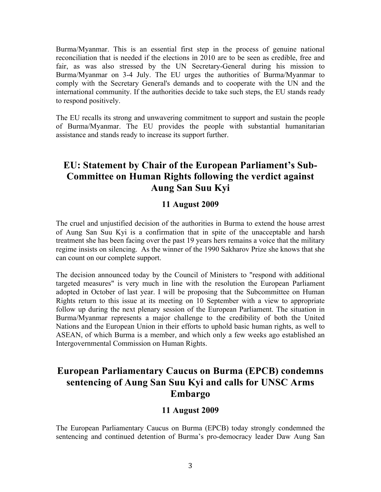Burma/Myanmar. This is an essential first step in the process of genuine national reconciliation that is needed if the elections in 2010 are to be seen as credible, free and fair, as was also stressed by the UN Secretary-General during his mission to Burma/Myanmar on 3-4 July. The EU urges the authorities of Burma/Myanmar to comply with the Secretary General's demands and to cooperate with the UN and the international community. If the authorities decide to take such steps, the EU stands ready to respond positively.

The EU recalls its strong and unwavering commitment to support and sustain the people of Burma/Myanmar. The EU provides the people with substantial humanitarian assistance and stands ready to increase its support further.

# **EU: Statement by Chair of the European Parliament's Sub-Committee on Human Rights following the verdict against Aung San Suu Kyi**

### **11 August 2009**

The cruel and unjustified decision of the authorities in Burma to extend the house arrest of Aung San Suu Kyi is a confirmation that in spite of the unacceptable and harsh treatment she has been facing over the past 19 years hers remains a voice that the military regime insists on silencing. As the winner of the 1990 Sakharov Prize she knows that she can count on our complete support.

The decision announced today by the Council of Ministers to "respond with additional targeted measures" is very much in line with the resolution the European Parliament adopted in October of last year. I will be proposing that the Subcommittee on Human Rights return to this issue at its meeting on 10 September with a view to appropriate follow up during the next plenary session of the European Parliament. The situation in Burma/Myanmar represents a major challenge to the credibility of both the United Nations and the European Union in their efforts to uphold basic human rights, as well to ASEAN, of which Burma is a member, and which only a few weeks ago established an Intergovernmental Commission on Human Rights.

## **European Parliamentary Caucus on Burma (EPCB) condemns sentencing of Aung San Suu Kyi and calls for UNSC Arms Embargo**

#### **11 August 2009**

The European Parliamentary Caucus on Burma (EPCB) today strongly condemned the sentencing and continued detention of Burma's pro-democracy leader Daw Aung San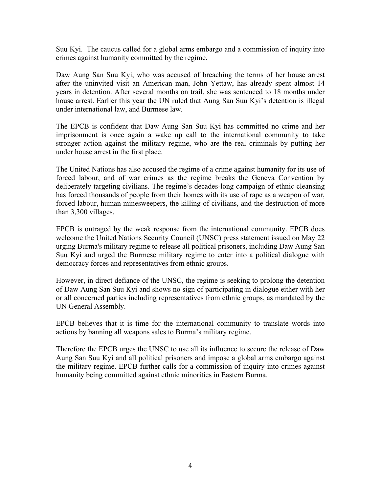Suu Kyi. The caucus called for a global arms embargo and a commission of inquiry into crimes against humanity committed by the regime.

Daw Aung San Suu Kyi, who was accused of breaching the terms of her house arrest after the uninvited visit an American man, John Yettaw, has already spent almost 14 years in detention. After several months on trail, she was sentenced to 18 months under house arrest. Earlier this year the UN ruled that Aung San Suu Kyi's detention is illegal under international law, and Burmese law.

The EPCB is confident that Daw Aung San Suu Kyi has committed no crime and her imprisonment is once again a wake up call to the international community to take stronger action against the military regime, who are the real criminals by putting her under house arrest in the first place.

The United Nations has also accused the regime of a crime against humanity for its use of forced labour, and of war crimes as the regime breaks the Geneva Convention by deliberately targeting civilians. The regime's decades-long campaign of ethnic cleansing has forced thousands of people from their homes with its use of rape as a weapon of war, forced labour, human minesweepers, the killing of civilians, and the destruction of more than 3,300 villages.

EPCB is outraged by the weak response from the international community. EPCB does welcome the United Nations Security Council (UNSC) press statement issued on May 22 urging Burma's military regime to release all political prisoners, including Daw Aung San Suu Kyi and urged the Burmese military regime to enter into a political dialogue with democracy forces and representatives from ethnic groups.

However, in direct defiance of the UNSC, the regime is seeking to prolong the detention of Daw Aung San Suu Kyi and shows no sign of participating in dialogue either with her or all concerned parties including representatives from ethnic groups, as mandated by the UN General Assembly.

EPCB believes that it is time for the international community to translate words into actions by banning all weapons sales to Burma's military regime.

Therefore the EPCB urges the UNSC to use all its influence to secure the release of Daw Aung San Suu Kyi and all political prisoners and impose a global arms embargo against the military regime. EPCB further calls for a commission of inquiry into crimes against humanity being committed against ethnic minorities in Eastern Burma.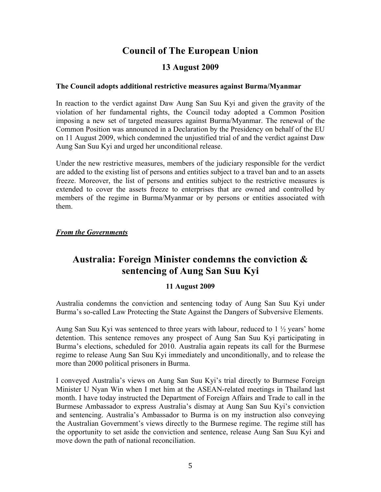# **Council of The European Union**

### **13 August 2009**

#### **The Council adopts additional restrictive measures against Burma/Myanmar**

In reaction to the verdict against Daw Aung San Suu Kyi and given the gravity of the violation of her fundamental rights, the Council today adopted a Common Position imposing a new set of targeted measures against Burma/Myanmar. The renewal of the Common Position was announced in a Declaration by the Presidency on behalf of the EU on 11 August 2009, which condemned the unjustified trial of and the verdict against Daw Aung San Suu Kyi and urged her unconditional release.

Under the new restrictive measures, members of the judiciary responsible for the verdict are added to the existing list of persons and entities subject to a travel ban and to an assets freeze. Moreover, the list of persons and entities subject to the restrictive measures is extended to cover the assets freeze to enterprises that are owned and controlled by members of the regime in Burma/Myanmar or by persons or entities associated with them.

#### *From the Governments*

# **Australia: Foreign Minister condemns the conviction & sentencing of Aung San Suu Kyi**

#### **11 August 2009**

Australia condemns the conviction and sentencing today of Aung San Suu Kyi under Burma's so-called Law Protecting the State Against the Dangers of Subversive Elements.

Aung San Suu Kyi was sentenced to three years with labour, reduced to  $1 \frac{1}{2}$  years' home detention. This sentence removes any prospect of Aung San Suu Kyi participating in Burma's elections, scheduled for 2010. Australia again repeats its call for the Burmese regime to release Aung San Suu Kyi immediately and unconditionally, and to release the more than 2000 political prisoners in Burma.

I conveyed Australia's views on Aung San Suu Kyi's trial directly to Burmese Foreign Minister U Nyan Win when I met him at the ASEAN-related meetings in Thailand last month. I have today instructed the Department of Foreign Affairs and Trade to call in the Burmese Ambassador to express Australia's dismay at Aung San Suu Kyi's conviction and sentencing. Australia's Ambassador to Burma is on my instruction also conveying the Australian Government's views directly to the Burmese regime. The regime still has the opportunity to set aside the conviction and sentence, release Aung San Suu Kyi and move down the path of national reconciliation.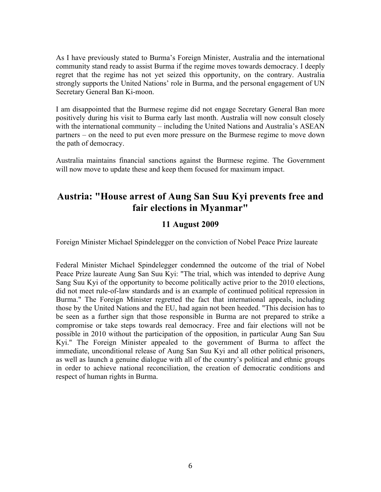As I have previously stated to Burma's Foreign Minister, Australia and the international community stand ready to assist Burma if the regime moves towards democracy. I deeply regret that the regime has not yet seized this opportunity, on the contrary. Australia strongly supports the United Nations' role in Burma, and the personal engagement of UN Secretary General Ban Ki-moon.

I am disappointed that the Burmese regime did not engage Secretary General Ban more positively during his visit to Burma early last month. Australia will now consult closely with the international community – including the United Nations and Australia's ASEAN partners – on the need to put even more pressure on the Burmese regime to move down the path of democracy.

Australia maintains financial sanctions against the Burmese regime. The Government will now move to update these and keep them focused for maximum impact.

# **Austria: "House arrest of Aung San Suu Kyi prevents free and fair elections in Myanmar"**

### **11 August 2009**

Foreign Minister Michael Spindelegger on the conviction of Nobel Peace Prize laureate

Federal Minister Michael Spindelegger condemned the outcome of the trial of Nobel Peace Prize laureate Aung San Suu Kyi: "The trial, which was intended to deprive Aung Sang Suu Kyi of the opportunity to become politically active prior to the 2010 elections, did not meet rule-of-law standards and is an example of continued political repression in Burma." The Foreign Minister regretted the fact that international appeals, including those by the United Nations and the EU, had again not been heeded. "This decision has to be seen as a further sign that those responsible in Burma are not prepared to strike a compromise or take steps towards real democracy. Free and fair elections will not be possible in 2010 without the participation of the opposition, in particular Aung San Suu Kyi." The Foreign Minister appealed to the government of Burma to affect the immediate, unconditional release of Aung San Suu Kyi and all other political prisoners, as well as launch a genuine dialogue with all of the country's political and ethnic groups in order to achieve national reconciliation, the creation of democratic conditions and respect of human rights in Burma.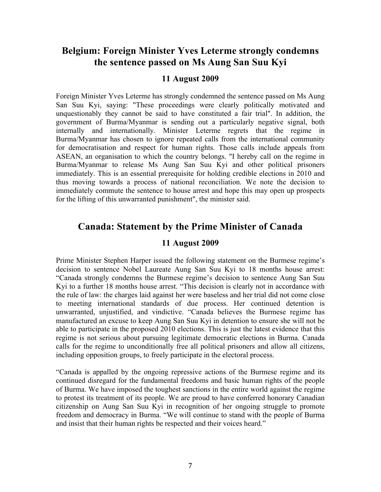## **Belgium: Foreign Minister Yves Leterme strongly condemns the sentence passed on Ms Aung San Suu Kyi**

#### **11 August 2009**

Foreign Minister Yves Leterme has strongly condemned the sentence passed on Ms Aung San Suu Kyi, saying: "These proceedings were clearly politically motivated and unquestionably they cannot be said to have constituted a fair trial". In addition, the government of Burma/Myanmar is sending out a particularly negative signal, both internally and internationally. Minister Leterme regrets that the regime in Burma/Myanmar has chosen to ignore repeated calls from the international community for democratisation and respect for human rights. Those calls include appeals from ASEAN, an organisation to which the country belongs. "I hereby call on the regime in Burma/Myanmar to release Ms Aung San Suu Kyi and other political prisoners immediately. This is an essential prerequisite for holding credible elections in 2010 and thus moving towards a process of national reconciliation. We note the decision to immediately commute the sentence to house arrest and hope this may open up prospects for the lifting of this unwarranted punishment", the minister said.

## **Canada: Statement by the Prime Minister of Canada**

#### **11 August 2009**

Prime Minister Stephen Harper issued the following statement on the Burmese regime's decision to sentence Nobel Laureate Aung San Suu Kyi to 18 months house arrest: "Canada strongly condemns the Burmese regime's decision to sentence Aung San Suu Kyi to a further 18 months house arrest. "This decision is clearly not in accordance with the rule of law: the charges laid against her were baseless and her trial did not come close to meeting international standards of due process. Her continued detention is unwarranted, unjustified, and vindictive. "Canada believes the Burmese regime has manufactured an excuse to keep Aung San Suu Kyi in detention to ensure she will not be able to participate in the proposed 2010 elections. This is just the latest evidence that this regime is not serious about pursuing legitimate democratic elections in Burma. Canada calls for the regime to unconditionally free all political prisoners and allow all citizens, including opposition groups, to freely participate in the electoral process.

"Canada is appalled by the ongoing repressive actions of the Burmese regime and its continued disregard for the fundamental freedoms and basic human rights of the people of Burma. We have imposed the toughest sanctions in the entire world against the regime to protest its treatment of its people. We are proud to have conferred honorary Canadian citizenship on Aung San Suu Kyi in recognition of her ongoing struggle to promote freedom and democracy in Burma. "We will continue to stand with the people of Burma and insist that their human rights be respected and their voices heard."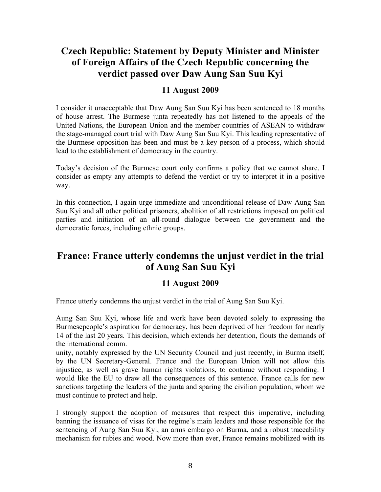# **Czech Republic: Statement by Deputy Minister and Minister of Foreign Affairs of the Czech Republic concerning the verdict passed over Daw Aung San Suu Kyi**

### **11 August 2009**

I consider it unacceptable that Daw Aung San Suu Kyi has been sentenced to 18 months of house arrest. The Burmese junta repeatedly has not listened to the appeals of the United Nations, the European Union and the member countries of ASEAN to withdraw the stage-managed court trial with Daw Aung San Suu Kyi. This leading representative of the Burmese opposition has been and must be a key person of a process, which should lead to the establishment of democracy in the country.

Today's decision of the Burmese court only confirms a policy that we cannot share. I consider as empty any attempts to defend the verdict or try to interpret it in a positive way.

In this connection, I again urge immediate and unconditional release of Daw Aung San Suu Kyi and all other political prisoners, abolition of all restrictions imposed on political parties and initiation of an all-round dialogue between the government and the democratic forces, including ethnic groups.

## **France: France utterly condemns the unjust verdict in the trial of Aung San Suu Kyi**

## **11 August 2009**

France utterly condemns the unjust verdict in the trial of Aung San Suu Kyi.

Aung San Suu Kyi, whose life and work have been devoted solely to expressing the Burmesepeople's aspiration for democracy, has been deprived of her freedom for nearly 14 of the last 20 years. This decision, which extends her detention, flouts the demands of the international comm.

unity, notably expressed by the UN Security Council and just recently, in Burma itself, by the UN Secretary-General. France and the European Union will not allow this injustice, as well as grave human rights violations, to continue without responding. I would like the EU to draw all the consequences of this sentence. France calls for new sanctions targeting the leaders of the junta and sparing the civilian population, whom we must continue to protect and help.

I strongly support the adoption of measures that respect this imperative, including banning the issuance of visas for the regime's main leaders and those responsible for the sentencing of Aung San Suu Kyi, an arms embargo on Burma, and a robust traceability mechanism for rubies and wood. Now more than ever, France remains mobilized with its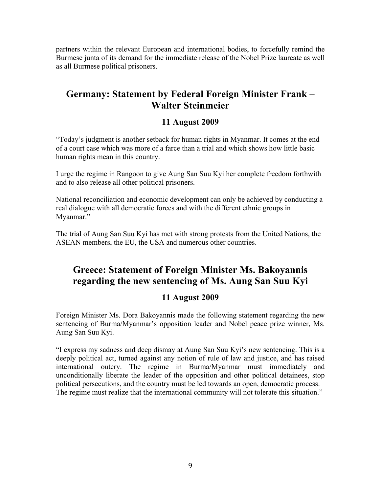partners within the relevant European and international bodies, to forcefully remind the Burmese junta of its demand for the immediate release of the Nobel Prize laureate as well as all Burmese political prisoners.

## **Germany: Statement by Federal Foreign Minister Frank – Walter Steinmeier**

## **11 August 2009**

"Today's judgment is another setback for human rights in Myanmar. It comes at the end of a court case which was more of a farce than a trial and which shows how little basic human rights mean in this country.

I urge the regime in Rangoon to give Aung San Suu Kyi her complete freedom forthwith and to also release all other political prisoners.

National reconciliation and economic development can only be achieved by conducting a real dialogue with all democratic forces and with the different ethnic groups in Myanmar."

The trial of Aung San Suu Kyi has met with strong protests from the United Nations, the ASEAN members, the EU, the USA and numerous other countries.

# **Greece: Statement of Foreign Minister Ms. Bakoyannis regarding the new sentencing of Ms. Aung San Suu Kyi**

## **11 August 2009**

Foreign Minister Ms. Dora Bakoyannis made the following statement regarding the new sentencing of Burma/Myanmar's opposition leader and Nobel peace prize winner, Ms. Aung San Suu Kyi.

"I express my sadness and deep dismay at Aung San Suu Kyi's new sentencing. This is a deeply political act, turned against any notion of rule of law and justice, and has raised international outcry. The regime in Burma/Myanmar must immediately and unconditionally liberate the leader of the opposition and other political detainees, stop political persecutions, and the country must be led towards an open, democratic process. The regime must realize that the international community will not tolerate this situation."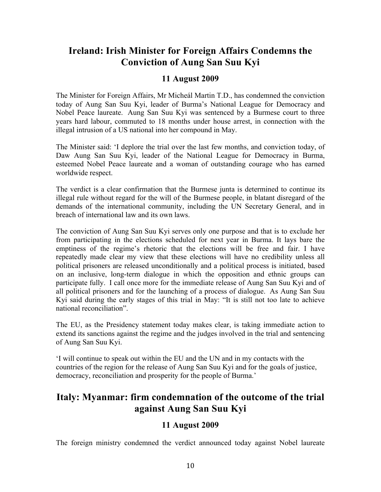## **Ireland: Irish Minister for Foreign Affairs Condemns the Conviction of Aung San Suu Kyi**

## **11 August 2009**

The Minister for Foreign Affairs, Mr Micheál Martin T.D., has condemned the conviction today of Aung San Suu Kyi, leader of Burma's National League for Democracy and Nobel Peace laureate. Aung San Suu Kyi was sentenced by a Burmese court to three years hard labour, commuted to 18 months under house arrest, in connection with the illegal intrusion of a US national into her compound in May.

The Minister said: 'I deplore the trial over the last few months, and conviction today, of Daw Aung San Suu Kyi, leader of the National League for Democracy in Burma, esteemed Nobel Peace laureate and a woman of outstanding courage who has earned worldwide respect.

The verdict is a clear confirmation that the Burmese junta is determined to continue its illegal rule without regard for the will of the Burmese people, in blatant disregard of the demands of the international community, including the UN Secretary General, and in breach of international law and its own laws.

The conviction of Aung San Suu Kyi serves only one purpose and that is to exclude her from participating in the elections scheduled for next year in Burma. It lays bare the emptiness of the regime's rhetoric that the elections will be free and fair. I have repeatedly made clear my view that these elections will have no credibility unless all political prisoners are released unconditionally and a political process is initiated, based on an inclusive, long-term dialogue in which the opposition and ethnic groups can participate fully. I call once more for the immediate release of Aung San Suu Kyi and of all political prisoners and for the launching of a process of dialogue. As Aung San Suu Kyi said during the early stages of this trial in May: "It is still not too late to achieve national reconciliation".

The EU, as the Presidency statement today makes clear, is taking immediate action to extend its sanctions against the regime and the judges involved in the trial and sentencing of Aung San Suu Kyi.

'I will continue to speak out within the EU and the UN and in my contacts with the countries of the region for the release of Aung San Suu Kyi and for the goals of justice, democracy, reconciliation and prosperity for the people of Burma.'

## **Italy: Myanmar: firm condemnation of the outcome of the trial against Aung San Suu Kyi**

## **11 August 2009**

The foreign ministry condemned the verdict announced today against Nobel laureate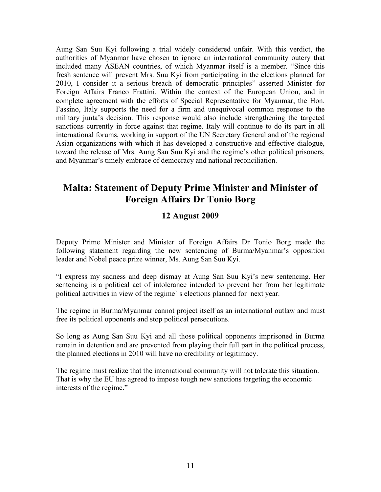Aung San Suu Kyi following a trial widely considered unfair. With this verdict, the authorities of Myanmar have chosen to ignore an international community outcry that included many ASEAN countries, of which Myanmar itself is a member. "Since this fresh sentence will prevent Mrs. Suu Kyi from participating in the elections planned for 2010, I consider it a serious breach of democratic principles" asserted Minister for Foreign Affairs Franco Frattini. Within the context of the European Union, and in complete agreement with the efforts of Special Representative for Myanmar, the Hon. Fassino, Italy supports the need for a firm and unequivocal common response to the military junta's decision. This response would also include strengthening the targeted sanctions currently in force against that regime. Italy will continue to do its part in all international forums, working in support of the UN Secretary General and of the regional Asian organizations with which it has developed a constructive and effective dialogue, toward the release of Mrs. Aung San Suu Kyi and the regime's other political prisoners, and Myanmar's timely embrace of democracy and national reconciliation.

## **Malta: Statement of Deputy Prime Minister and Minister of Foreign Affairs Dr Tonio Borg**

## **12 August 2009**

Deputy Prime Minister and Minister of Foreign Affairs Dr Tonio Borg made the following statement regarding the new sentencing of Burma/Myanmar's opposition leader and Nobel peace prize winner, Ms. Aung San Suu Kyi.

"I express my sadness and deep dismay at Aung San Suu Kyi's new sentencing. Her sentencing is a political act of intolerance intended to prevent her from her legitimate political activities in view of the regime` s elections planned for next year.

The regime in Burma/Myanmar cannot project itself as an international outlaw and must free its political opponents and stop political persecutions.

So long as Aung San Suu Kyi and all those political opponents imprisoned in Burma remain in detention and are prevented from playing their full part in the political process, the planned elections in 2010 will have no credibility or legitimacy.

The regime must realize that the international community will not tolerate this situation. That is why the EU has agreed to impose tough new sanctions targeting the economic interests of the regime."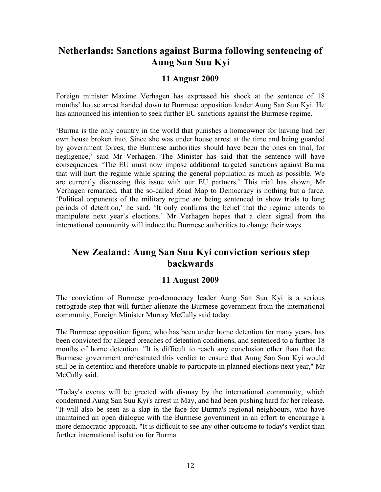## **Netherlands: Sanctions against Burma following sentencing of Aung San Suu Kyi**

### **11 August 2009**

Foreign minister Maxime Verhagen has expressed his shock at the sentence of 18 months' house arrest handed down to Burmese opposition leader Aung San Suu Kyi. He has announced his intention to seek further EU sanctions against the Burmese regime.

'Burma is the only country in the world that punishes a homeowner for having had her own house broken into. Since she was under house arrest at the time and being guarded by government forces, the Burmese authorities should have been the ones on trial, for negligence,' said Mr Verhagen. The Minister has said that the sentence will have consequences. 'The EU must now impose additional targeted sanctions against Burma that will hurt the regime while sparing the general population as much as possible. We are currently discussing this issue with our EU partners.' This trial has shown, Mr Verhagen remarked, that the so-called Road Map to Democracy is nothing but a farce. 'Political opponents of the military regime are being sentenced in show trials to long periods of detention,' he said. 'It only confirms the belief that the regime intends to manipulate next year's elections.' Mr Verhagen hopes that a clear signal from the international community will induce the Burmese authorities to change their ways.

# **New Zealand: Aung San Suu Kyi conviction serious step backwards**

### **11 August 2009**

The conviction of Burmese pro-democracy leader Aung San Suu Kyi is a serious retrograde step that will further alienate the Burmese government from the international community, Foreign Minister Murray McCully said today.

The Burmese opposition figure, who has been under home detention for many years, has been convicted for alleged breaches of detention conditions, and sentenced to a further 18 months of home detention. "It is difficult to reach any conclusion other than that the Burmese government orchestrated this verdict to ensure that Aung San Suu Kyi would still be in detention and therefore unable to particpate in planned elections next year," Mr McCully said.

"Today's events will be greeted with dismay by the international community, which condemned Aung San Suu Kyi's arrest in May, and had been pushing hard for her release. "It will also be seen as a slap in the face for Burma's regional neighbours, who have maintained an open dialogue with the Burmese government in an effort to encourage a more democratic approach. "It is difficult to see any other outcome to today's verdict than further international isolation for Burma.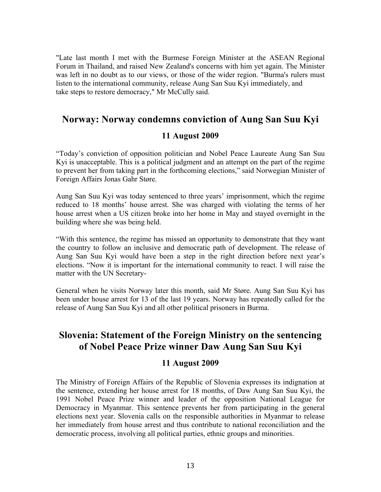"Late last month I met with the Burmese Foreign Minister at the ASEAN Regional Forum in Thailand, and raised New Zealand's concerns with him yet again. The Minister was left in no doubt as to our views, or those of the wider region. "Burma's rulers must listen to the international community, release Aung San Suu Kyi immediately, and take steps to restore democracy," Mr McCully said.

## **Norway: Norway condemns conviction of Aung San Suu Kyi**

#### **11 August 2009**

"Today's conviction of opposition politician and Nobel Peace Laureate Aung San Suu Kyi is unacceptable. This is a political judgment and an attempt on the part of the regime to prevent her from taking part in the forthcoming elections," said Norwegian Minister of Foreign Affairs Jonas Gahr Støre.

Aung San Suu Kyi was today sentenced to three years' imprisonment, which the regime reduced to 18 months' house arrest. She was charged with violating the terms of her house arrest when a US citizen broke into her home in May and stayed overnight in the building where she was being held.

"With this sentence, the regime has missed an opportunity to demonstrate that they want the country to follow an inclusive and democratic path of development. The release of Aung San Suu Kyi would have been a step in the right direction before next year's elections. "Now it is important for the international community to react. I will raise the matter with the UN Secretary-

General when he visits Norway later this month, said Mr Støre. Aung San Suu Kyi has been under house arrest for 13 of the last 19 years. Norway has repeatedly called for the release of Aung San Suu Kyi and all other political prisoners in Burma.

## **Slovenia: Statement of the Foreign Ministry on the sentencing of Nobel Peace Prize winner Daw Aung San Suu Kyi**

### **11 August 2009**

The Ministry of Foreign Affairs of the Republic of Slovenia expresses its indignation at the sentence, extending her house arrest for 18 months, of Daw Aung San Suu Kyi, the 1991 Nobel Peace Prize winner and leader of the opposition National League for Democracy in Myanmar. This sentence prevents her from participating in the general elections next year. Slovenia calls on the responsible authorities in Myanmar to release her immediately from house arrest and thus contribute to national reconciliation and the democratic process, involving all political parties, ethnic groups and minorities.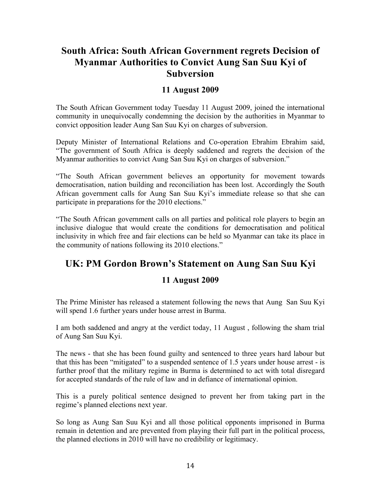# **South Africa: South African Government regrets Decision of Myanmar Authorities to Convict Aung San Suu Kyi of Subversion**

### **11 August 2009**

The South African Government today Tuesday 11 August 2009, joined the international community in unequivocally condemning the decision by the authorities in Myanmar to convict opposition leader Aung San Suu Kyi on charges of subversion.

Deputy Minister of International Relations and Co-operation Ebrahim Ebrahim said, "The government of South Africa is deeply saddened and regrets the decision of the Myanmar authorities to convict Aung San Suu Kyi on charges of subversion."

"The South African government believes an opportunity for movement towards democratisation, nation building and reconciliation has been lost. Accordingly the South African government calls for Aung San Suu Kyi's immediate release so that she can participate in preparations for the 2010 elections."

"The South African government calls on all parties and political role players to begin an inclusive dialogue that would create the conditions for democratisation and political inclusivity in which free and fair elections can be held so Myanmar can take its place in the community of nations following its 2010 elections."

## **UK: PM Gordon Brown's Statement on Aung San Suu Kyi**

## **11 August 2009**

The Prime Minister has released a statement following the news that Aung San Suu Kyi will spend 1.6 further years under house arrest in Burma.

I am both saddened and angry at the verdict today, 11 August , following the sham trial of Aung San Suu Kyi.

The news - that she has been found guilty and sentenced to three years hard labour but that this has been "mitigated" to a suspended sentence of 1.5 years under house arrest - is further proof that the military regime in Burma is determined to act with total disregard for accepted standards of the rule of law and in defiance of international opinion.

This is a purely political sentence designed to prevent her from taking part in the regime's planned elections next year.

So long as Aung San Suu Kyi and all those political opponents imprisoned in Burma remain in detention and are prevented from playing their full part in the political process, the planned elections in 2010 will have no credibility or legitimacy.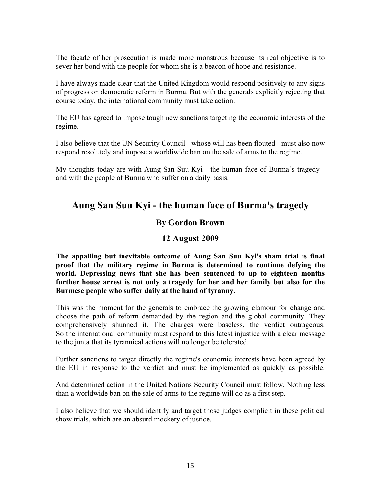The façade of her prosecution is made more monstrous because its real objective is to sever her bond with the people for whom she is a beacon of hope and resistance.

I have always made clear that the United Kingdom would respond positively to any signs of progress on democratic reform in Burma. But with the generals explicitly rejecting that course today, the international community must take action.

The EU has agreed to impose tough new sanctions targeting the economic interests of the regime.

I also believe that the UN Security Council - whose will has been flouted - must also now respond resolutely and impose a worldiwide ban on the sale of arms to the regime.

My thoughts today are with Aung San Suu Kyi - the human face of Burma's tragedy and with the people of Burma who suffer on a daily basis.

## **Aung San Suu Kyi - the human face of Burma's tragedy**

## **By Gordon Brown**

### **12 August 2009**

**The appalling but inevitable outcome of Aung San Suu Kyi's sham trial is final proof that the military regime in Burma is determined to continue defying the world. Depressing news that she has been sentenced to up to eighteen months further house arrest is not only a tragedy for her and her family but also for the Burmese people who suffer daily at the hand of tyranny.**

This was the moment for the generals to embrace the growing clamour for change and choose the path of reform demanded by the region and the global community. They comprehensively shunned it. The charges were baseless, the verdict outrageous. So the international community must respond to this latest injustice with a clear message to the junta that its tyrannical actions will no longer be tolerated.

Further sanctions to target directly the regime's economic interests have been agreed by the EU in response to the verdict and must be implemented as quickly as possible.

And determined action in the United Nations Security Council must follow. Nothing less than a worldwide ban on the sale of arms to the regime will do as a first step.

I also believe that we should identify and target those judges complicit in these political show trials, which are an absurd mockery of justice.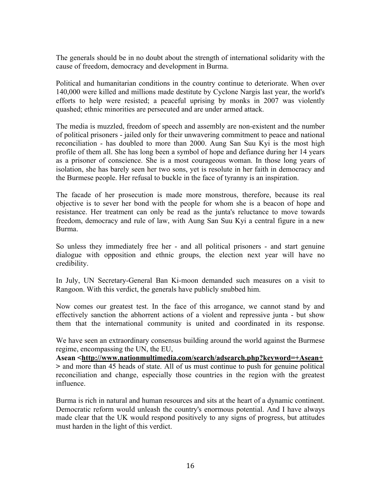The generals should be in no doubt about the strength of international solidarity with the cause of freedom, democracy and development in Burma.

Political and humanitarian conditions in the country continue to deteriorate. When over 140,000 were killed and millions made destitute by Cyclone Nargis last year, the world's efforts to help were resisted; a peaceful uprising by monks in 2007 was violently quashed; ethnic minorities are persecuted and are under armed attack.

The media is muzzled, freedom of speech and assembly are non-existent and the number of political prisoners - jailed only for their unwavering commitment to peace and national reconciliation - has doubled to more than 2000. Aung San Suu Kyi is the most high profile of them all. She has long been a symbol of hope and defiance during her 14 years as a prisoner of conscience. She is a most courageous woman. In those long years of isolation, she has barely seen her two sons, yet is resolute in her faith in democracy and the Burmese people. Her refusal to buckle in the face of tyranny is an inspiration.

The facade of her prosecution is made more monstrous, therefore, because its real objective is to sever her bond with the people for whom she is a beacon of hope and resistance. Her treatment can only be read as the junta's reluctance to move towards freedom, democracy and rule of law, with Aung San Suu Kyi a central figure in a new Burma.

So unless they immediately free her - and all political prisoners - and start genuine dialogue with opposition and ethnic groups, the election next year will have no credibility.

In July, UN Secretary-General Ban Ki-moon demanded such measures on a visit to Rangoon. With this verdict, the generals have publicly snubbed him.

Now comes our greatest test. In the face of this arrogance, we cannot stand by and effectively sanction the abhorrent actions of a violent and repressive junta - but show them that the international community is united and coordinated in its response.

We have seen an extraordinary consensus building around the world against the Burmese regime, encompassing the UN, the EU,

**Asean <http://www.nationmultimedia.com/search/adsearch.php?keyword=+Asean+ >** and more than 45 heads of state. All of us must continue to push for genuine political reconciliation and change, especially those countries in the region with the greatest influence.

Burma is rich in natural and human resources and sits at the heart of a dynamic continent. Democratic reform would unleash the country's enormous potential. And I have always made clear that the UK would respond positively to any signs of progress, but attitudes must harden in the light of this verdict.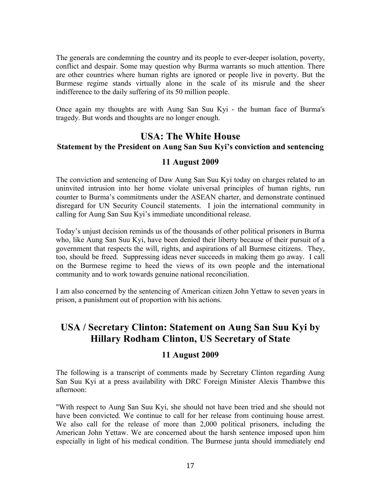The generals are condemning the country and its people to ever-deeper isolation, poverty, conflict and despair. Some may question why Burma warrants so much attention. There are other countries where human rights are ignored or people live in poverty. But the Burmese regime stands virtually alone in the scale of its misrule and the sheer indifference to the daily suffering of its 50 million people.

Once again my thoughts are with Aung San Suu Kyi - the human face of Burma's tragedy. But words and thoughts are no longer enough.

## **USA: The White House**

#### **Statement by the President on Aung San Suu Kyi's conviction and sentencing**

#### **11 August 2009**

The conviction and sentencing of Daw Aung San Suu Kyi today on charges related to an uninvited intrusion into her home violate universal principles of human rights, run counter to Burma's commitments under the ASEAN charter, and demonstrate continued disregard for UN Security Council statements. I join the international community in calling for Aung San Suu Kyi's immediate unconditional release.

Today's unjust decision reminds us of the thousands of other political prisoners in Burma who, like Aung San Suu Kyi, have been denied their liberty because of their pursuit of a government that respects the will, rights, and aspirations of all Burmese citizens. They, too, should be freed. Suppressing ideas never succeeds in making them go away. I call on the Burmese regime to heed the views of its own people and the international community and to work towards genuine national reconciliation.

I am also concerned by the sentencing of American citizen John Yettaw to seven years in prison, a punishment out of proportion with his actions.

# **USA / Secretary Clinton: Statement on Aung San Suu Kyi by Hillary Rodham Clinton, US Secretary of State**

## **11 August 2009**

The following is a transcript of comments made by Secretary Clinton regarding Aung San Suu Kyi at a press availability with DRC Foreign Minister Alexis Thambwe this afternoon:

"With respect to Aung San Suu Kyi, she should not have been tried and she should not have been convicted. We continue to call for her release from continuing house arrest. We also call for the release of more than 2,000 political prisoners, including the American John Yettaw. We are concerned about the harsh sentence imposed upon him especially in light of his medical condition. The Burmese junta should immediately end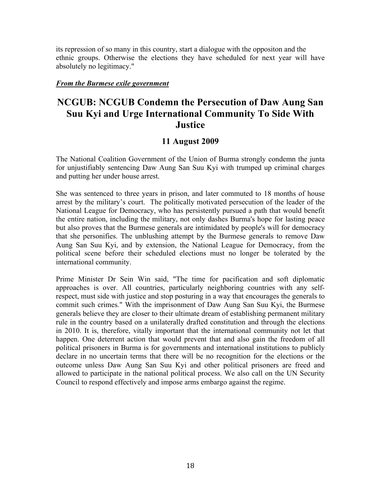its repression of so many in this country, start a dialogue with the oppositon and the ethnic groups. Otherwise the elections they have scheduled for next year will have absolutely no legitimacy."

#### *From the Burmese exile government*

# **NCGUB: NCGUB Condemn the Persecution of Daw Aung San Suu Kyi and Urge International Community To Side With Justice**

### **11 August 2009**

The National Coalition Government of the Union of Burma strongly condemn the junta for unjustifiably sentencing Daw Aung San Suu Kyi with trumped up criminal charges and putting her under house arrest.

She was sentenced to three years in prison, and later commuted to 18 months of house arrest by the military's court. The politically motivated persecution of the leader of the National League for Democracy, who has persistently pursued a path that would benefit the entire nation, including the military, not only dashes Burma's hope for lasting peace but also proves that the Burmese generals are intimidated by people's will for democracy that she personifies. The unblushing attempt by the Burmese generals to remove Daw Aung San Suu Kyi, and by extension, the National League for Democracy, from the political scene before their scheduled elections must no longer be tolerated by the international community.

Prime Minister Dr Sein Win said, "The time for pacification and soft diplomatic approaches is over. All countries, particularly neighboring countries with any selfrespect, must side with justice and stop posturing in a way that encourages the generals to commit such crimes." With the imprisonment of Daw Aung San Suu Kyi, the Burmese generals believe they are closer to their ultimate dream of establishing permanent military rule in the country based on a unilaterally drafted constitution and through the elections in 2010. It is, therefore, vitally important that the international community not let that happen. One deterrent action that would prevent that and also gain the freedom of all political prisoners in Burma is for governments and international institutions to publicly declare in no uncertain terms that there will be no recognition for the elections or the outcome unless Daw Aung San Suu Kyi and other political prisoners are freed and allowed to participate in the national political process. We also call on the UN Security Council to respond effectively and impose arms embargo against the regime.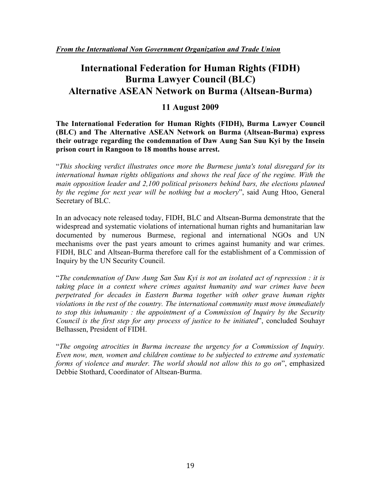# **International Federation for Human Rights (FIDH) Burma Lawyer Council (BLC) Alternative ASEAN Network on Burma (Altsean-Burma)**

## **11 August 2009**

**The International Federation for Human Rights (FIDH), Burma Lawyer Council (BLC) and The Alternative ASEAN Network on Burma (Altsean-Burma) express their outrage regarding the condemnation of Daw Aung San Suu Kyi by the Insein prison court in Rangoon to 18 months house arrest.**

"*This shocking verdict illustrates once more the Burmese junta's total disregard for its international human rights obligations and shows the real face of the regime. With the main opposition leader and 2,100 political prisoners behind bars, the elections planned by the regime for next year will be nothing but a mockery*", said Aung Htoo, General Secretary of BLC.

In an advocacy note released today, FIDH, BLC and Altsean-Burma demonstrate that the widespread and systematic violations of international human rights and humanitarian law documented by numerous Burmese, regional and international NGOs and UN mechanisms over the past years amount to crimes against humanity and war crimes. FIDH, BLC and Altsean-Burma therefore call for the establishment of a Commission of Inquiry by the UN Security Council.

"*The condemnation of Daw Aung San Suu Kyi is not an isolated act of repression : it is taking place in a context where crimes against humanity and war crimes have been perpetrated for decades in Eastern Burma together with other grave human rights violations in the rest of the country. The international community must move immediately to stop this inhumanity : the appointment of a Commission of Inquiry by the Security Council is the first step for any process of justice to be initiated*", concluded Souhayr Belhassen, President of FIDH.

"*The ongoing atrocities in Burma increase the urgency for a Commission of Inquiry. Even now, men, women and children continue to be subjected to extreme and systematic forms of violence and murder. The world should not allow this to go on*", emphasized Debbie Stothard, Coordinator of Altsean-Burma.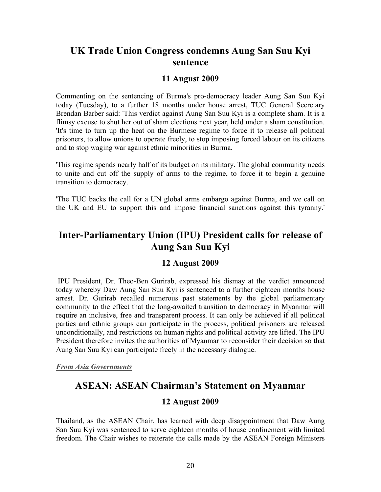## **UK Trade Union Congress condemns Aung San Suu Kyi sentence**

#### **11 August 2009**

Commenting on the sentencing of Burma's pro-democracy leader Aung San Suu Kyi today (Tuesday), to a further 18 months under house arrest, TUC General Secretary Brendan Barber said: 'This verdict against Aung San Suu Kyi is a complete sham. It is a flimsy excuse to shut her out of sham elections next year, held under a sham constitution. 'It's time to turn up the heat on the Burmese regime to force it to release all political prisoners, to allow unions to operate freely, to stop imposing forced labour on its citizens and to stop waging war against ethnic minorities in Burma.

'This regime spends nearly half of its budget on its military. The global community needs to unite and cut off the supply of arms to the regime, to force it to begin a genuine transition to democracy.

'The TUC backs the call for a UN global arms embargo against Burma, and we call on the UK and EU to support this and impose financial sanctions against this tyranny.'

# **Inter-Parliamentary Union (IPU) President calls for release of Aung San Suu Kyi**

### **12 August 2009**

IPU President, Dr. Theo-Ben Gurirab, expressed his dismay at the verdict announced today whereby Daw Aung San Suu Kyi is sentenced to a further eighteen months house arrest. Dr. Gurirab recalled numerous past statements by the global parliamentary community to the effect that the long-awaited transition to democracy in Myanmar will require an inclusive, free and transparent process. It can only be achieved if all political parties and ethnic groups can participate in the process, political prisoners are released unconditionally, and restrictions on human rights and political activity are lifted. The IPU President therefore invites the authorities of Myanmar to reconsider their decision so that Aung San Suu Kyi can participate freely in the necessary dialogue.

*From Asia Governments* 

## **ASEAN: ASEAN Chairman's Statement on Myanmar**

#### **12 August 2009**

Thailand, as the ASEAN Chair, has learned with deep disappointment that Daw Aung San Suu Kyi was sentenced to serve eighteen months of house confinement with limited freedom. The Chair wishes to reiterate the calls made by the ASEAN Foreign Ministers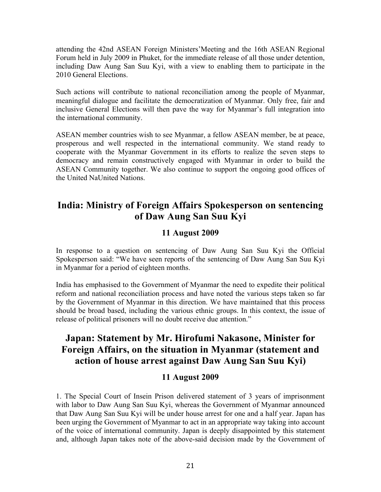attending the 42nd ASEAN Foreign Ministers'Meeting and the 16th ASEAN Regional Forum held in July 2009 in Phuket, for the immediate release of all those under detention, including Daw Aung San Suu Kyi, with a view to enabling them to participate in the 2010 General Elections.

Such actions will contribute to national reconciliation among the people of Myanmar, meaningful dialogue and facilitate the democratization of Myanmar. Only free, fair and inclusive General Elections will then pave the way for Myanmar's full integration into the international community.

ASEAN member countries wish to see Myanmar, a fellow ASEAN member, be at peace, prosperous and well respected in the international community. We stand ready to cooperate with the Myanmar Government in its efforts to realize the seven steps to democracy and remain constructively engaged with Myanmar in order to build the ASEAN Community together. We also continue to support the ongoing good offices of the United NaUnited Nations.

## **India: Ministry of Foreign Affairs Spokesperson on sentencing of Daw Aung San Suu Kyi**

## **11 August 2009**

In response to a question on sentencing of Daw Aung San Suu Kyi the Official Spokesperson said: "We have seen reports of the sentencing of Daw Aung San Suu Kyi in Myanmar for a period of eighteen months.

India has emphasised to the Government of Myanmar the need to expedite their political reform and national reconciliation process and have noted the various steps taken so far by the Government of Myanmar in this direction. We have maintained that this process should be broad based, including the various ethnic groups. In this context, the issue of release of political prisoners will no doubt receive due attention."

# **Japan: Statement by Mr. Hirofumi Nakasone, Minister for Foreign Affairs, on the situation in Myanmar (statement and action of house arrest against Daw Aung San Suu Kyi)**

## **11 August 2009**

1. The Special Court of Insein Prison delivered statement of 3 years of imprisonment with labor to Daw Aung San Suu Kyi, whereas the Government of Myanmar announced that Daw Aung San Suu Kyi will be under house arrest for one and a half year. Japan has been urging the Government of Myanmar to act in an appropriate way taking into account of the voice of international community. Japan is deeply disappointed by this statement and, although Japan takes note of the above-said decision made by the Government of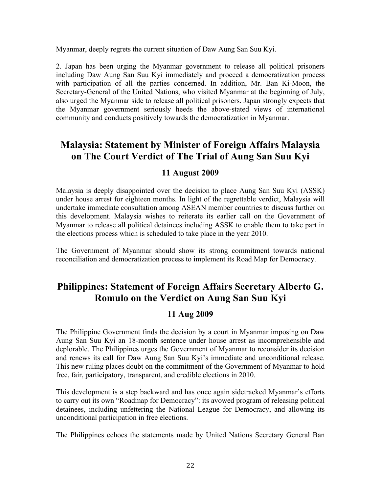Myanmar, deeply regrets the current situation of Daw Aung San Suu Kyi.

2. Japan has been urging the Myanmar government to release all political prisoners including Daw Aung San Suu Kyi immediately and proceed a democratization process with participation of all the parties concerned. In addition, Mr. Ban Ki-Moon, the Secretary-General of the United Nations, who visited Myanmar at the beginning of July, also urged the Myanmar side to release all political prisoners. Japan strongly expects that the Myanmar government seriously heeds the above-stated views of international community and conducts positively towards the democratization in Myanmar.

# **Malaysia: Statement by Minister of Foreign Affairs Malaysia on The Court Verdict of The Trial of Aung San Suu Kyi**

#### **11 August 2009**

Malaysia is deeply disappointed over the decision to place Aung San Suu Kyi (ASSK) under house arrest for eighteen months. In light of the regrettable verdict, Malaysia will undertake immediate consultation among ASEAN member countries to discuss further on this development. Malaysia wishes to reiterate its earlier call on the Government of Myanmar to release all political detainees including ASSK to enable them to take part in the elections process which is scheduled to take place in the year 2010.

The Government of Myanmar should show its strong commitment towards national reconciliation and democratization process to implement its Road Map for Democracy.

## **Philippines: Statement of Foreign Affairs Secretary Alberto G. Romulo on the Verdict on Aung San Suu Kyi**

### **11 Aug 2009**

The Philippine Government finds the decision by a court in Myanmar imposing on Daw Aung San Suu Kyi an 18-month sentence under house arrest as incomprehensible and deplorable. The Philippines urges the Government of Myanmar to reconsider its decision and renews its call for Daw Aung San Suu Kyi's immediate and unconditional release. This new ruling places doubt on the commitment of the Government of Myanmar to hold free, fair, participatory, transparent, and credible elections in 2010.

This development is a step backward and has once again sidetracked Myanmar's efforts to carry out its own "Roadmap for Democracy": its avowed program of releasing political detainees, including unfettering the National League for Democracy, and allowing its unconditional participation in free elections.

The Philippines echoes the statements made by United Nations Secretary General Ban